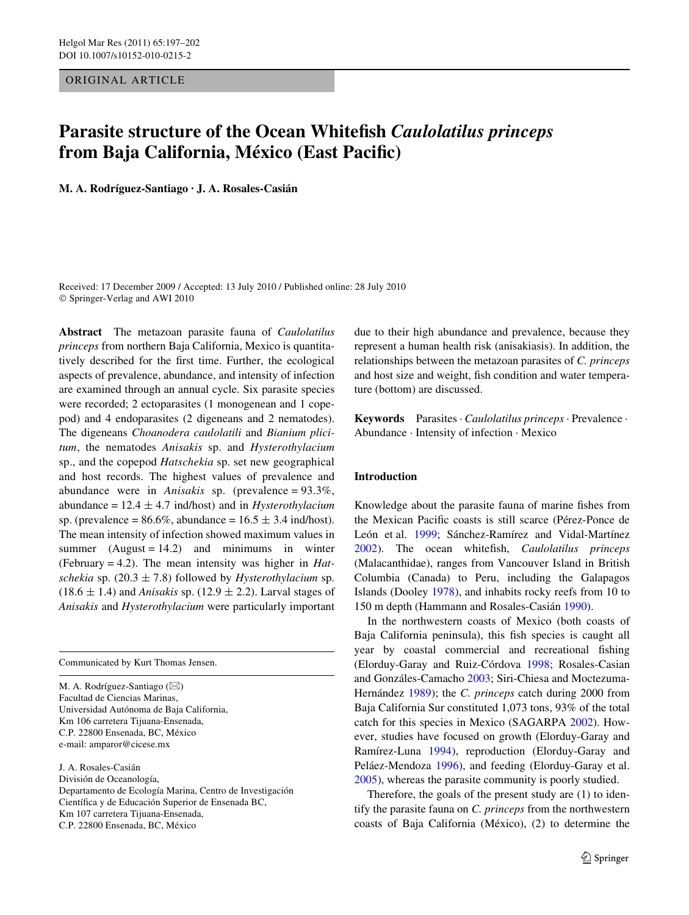ORIGINAL ARTICLE

# **Parasite structure of the Ocean Whitefish** *Caulolatilus princeps* **from Baja California, México (East Pacific)**

**M. A. Rodríguez-Santiago · J. A. Rosales-Casián** 

Received: 17 December 2009 / Accepted: 13 July 2010 / Published online: 28 July 2010 © Springer-Verlag and AWI 2010

**Abstract** The metazoan parasite fauna of *Caulolatilus princeps* from northern Baja California, Mexico is quantitatively described for the first time. Further, the ecological aspects of prevalence, abundance, and intensity of infection are examined through an annual cycle. Six parasite species were recorded; 2 ectoparasites (1 monogenean and 1 copepod) and 4 endoparasites (2 digeneans and 2 nematodes). The digeneans *Choanodera caulolatili* and *Bianium plicitum*, the nematodes *Anisakis* sp. and *Hysterothylacium* sp., and the copepod *Hatschekia* sp. set new geographical and host records. The highest values of prevalence and abundance were in *Anisakis* sp. (prevalence = 93.3%, abundance =  $12.4 \pm 4.7$  ind/host) and in *Hysterothylacium* sp. (prevalence =  $86.6\%$ , abundance =  $16.5 \pm 3.4$  ind/host). The mean intensity of infection showed maximum values in summer  $(August = 14.2)$  and minimums in winter (February = 4.2). The mean intensity was higher in *Hatschekia* sp. (20.3  $\pm$  7.8) followed by *Hysterothylacium* sp.  $(18.6 \pm 1.4)$  and *Anisakis* sp.  $(12.9 \pm 2.2)$ . Larval stages of *Anisakis* and *Hysterothylacium* were particularly important

Communicated by Kurt Thomas Jensen.

M. A. Rodríguez-Santiago ( $\boxtimes$ ) Facultad de Ciencias Marinas, Universidad Autónoma de Baja California, Km 106 carretera Tijuana-Ensenada, C.P. 22800 Ensenada, BC, México e-mail: amparor@cicese.mx

J. A. Rosales-Casián División de Oceanología, Departamento de Ecología Marina, Centro de Investigación Científica y de Educación Superior de Ensenada BC, Km 107 carretera Tijuana-Ensenada, C.P. 22800 Ensenada, BC, México

due to their high abundance and prevalence, because they represent a human health risk (anisakiasis). In addition, the relationships between the metazoan parasites of *C. princeps* and host size and weight, fish condition and water temperature (bottom) are discussed.

**Keywords** Parasites · *Caulolatilus princeps* · Prevalence · Abundance · Intensity of infection · Mexico

## **Introduction**

Knowledge about the parasite fauna of marine fishes from the Mexican Pacific coasts is still scarce (Pérez-Ponce de León et al. [1999;](#page-5-0) Sánchez-Ramírez and Vidal-Martínez [2002](#page-5-1)). The ocean whitefish, *Caulolatilus princeps* (Malacanthidae), ranges from Vancouver Island in British Columbia (Canada) to Peru, including the Galapagos Islands (Dooley [1978\)](#page-4-0), and inhabits rocky reefs from 10 to 150 m depth (Hammann and Rosales-Casián [1990](#page-4-1)).

In the northwestern coasts of Mexico (both coasts of Baja California peninsula), this fish species is caught all year by coastal commercial and recreational fishing (Elorduy-Garay and Ruiz-Córdova [1998](#page-4-2); Rosales-Casian and Gonzáles-Camacho [2003;](#page-5-2) Siri-Chiesa and Moctezuma-Hernández [1989\)](#page-5-3); the *C. princeps* catch during 2000 from Baja California Sur constituted 1,073 tons, 93% of the total catch for this species in Mexico (SAGARPA [2002\)](#page-5-4). However, studies have focused on growth (Elorduy-Garay and Ramírez-Luna [1994](#page-4-3)), reproduction (Elorduy-Garay and Peláez-Mendoza [1996](#page-4-4)), and feeding (Elorduy-Garay et al. [2005](#page-4-5)), whereas the parasite community is poorly studied.

Therefore, the goals of the present study are (1) to identify the parasite fauna on *C. princeps* from the northwestern coasts of Baja California (México), (2) to determine the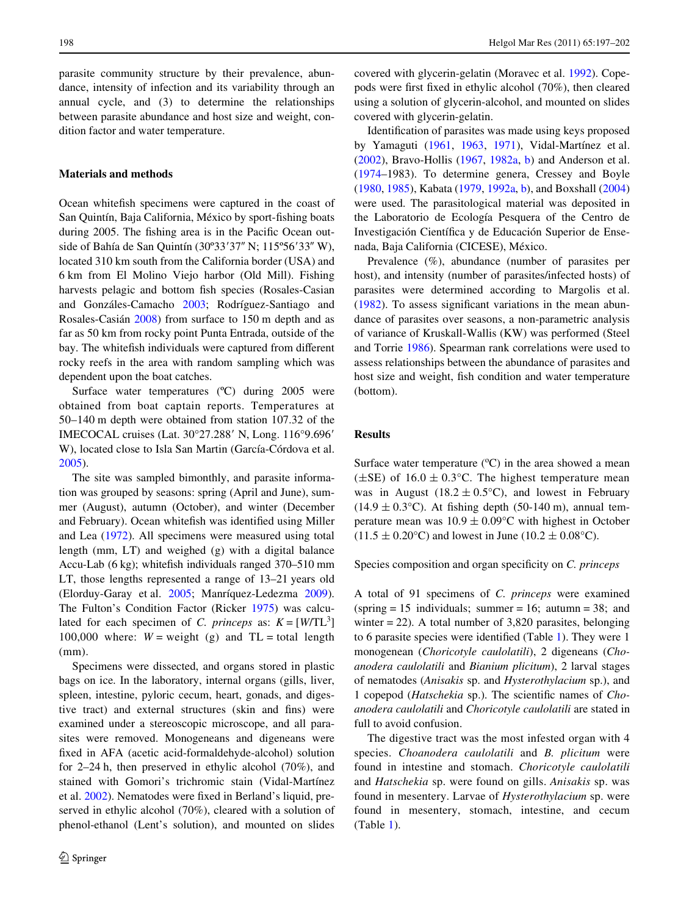parasite community structure by their prevalence, abundance, intensity of infection and its variability through an annual cycle, and (3) to determine the relationships between parasite abundance and host size and weight, condition factor and water temperature.

## **Materials and methods**

Ocean white fish specimens were captured in the coast of San Quintín, Baja California, México by sport-fishing boats during 2005. The fishing area is in the Pacific Ocean outside of Bahía de San Quintín (30°33′37″ N; 115°56′33″ W), located 310 km south from the California border (USA) and 6 km from El Molino Viejo harbor (Old Mill). Fishing harvests pelagic and bottom fish species (Rosales-Casian and Gonzáles-Camacho [2003;](#page-5-2) Rodríguez-Santiago and Rosales-Casián [2008\)](#page-5-5) from surface to 150 m depth and as far as 50 km from rocky point Punta Entrada, outside of the bay. The whitefish individuals were captured from different rocky reefs in the area with random sampling which was dependent upon the boat catches.

Surface water temperatures (°C) during 2005 were obtained from boat captain reports. Temperatures at 50–140 m depth were obtained from station 107.32 of the IMECOCAL cruises (Lat. 30°27.288' N, Long. 116°9.696' W), located close to Isla San Martin (García-Córdova et al. [2005](#page-4-6)).

The site was sampled bimonthly, and parasite information was grouped by seasons: spring (April and June), summer (August), autumn (October), and winter (December and February). Ocean whitefish was identified using Miller and Lea ([1972\)](#page-5-6). All specimens were measured using total length (mm, LT) and weighed (g) with a digital balance Accu-Lab  $(6 \text{ kg})$ ; white fish individuals ranged 370–510 mm LT, those lengths represented a range of 13–21 years old (Elorduy-Garay et al. [2005](#page-4-5); Manríquez-Ledezma [2009](#page-5-7)). The Fulton's Condition Factor (Ricker [1975](#page-5-8)) was calculated for each specimen of *C. princeps* as:  $K = [W/TL^3]$ 100,000 where:  $W = weight$  (g) and  $TL = total$  length (mm).

Specimens were dissected, and organs stored in plastic bags on ice. In the laboratory, internal organs (gills, liver, spleen, intestine, pyloric cecum, heart, gonads, and digestive tract) and external structures (skin and fins) were examined under a stereoscopic microscope, and all parasites were removed. Monogeneans and digeneans were fixed in AFA (acetic acid-formaldehyde-alcohol) solution for 2–24 h, then preserved in ethylic alcohol (70%), and stained with Gomori's trichromic stain (Vidal-Martínez et al. [2002\)](#page-5-9). Nematodes were fixed in Berland's liquid, preserved in ethylic alcohol (70%), cleared with a solution of phenol-ethanol (Lent's solution), and mounted on slides covered with glycerin-gelatin (Moravec et al. [1992](#page-5-10)). Copepods were first fixed in ethylic alcohol  $(70\%)$ , then cleared using a solution of glycerin-alcohol, and mounted on slides covered with glycerin-gelatin.

Identification of parasites was made using keys proposed by Yamaguti [\(1961](#page-5-11), [1963](#page-5-12), [1971](#page-5-13)), Vidal-Martínez et al. [\(2002\)](#page-5-9), Bravo-Hollis [\(1967](#page-4-7), [1982a,](#page-4-8) [b](#page-4-9)) and Anderson et al. [\(1974–](#page-4-10)1983). To determine genera, Cressey and Boyle [\(1980,](#page-4-11) [1985](#page-4-12)), Kabata [\(1979](#page-4-13), [1992a](#page-5-14), [b](#page-5-15)), and Boxshall ([2004\)](#page-4-14) were used. The parasitological material was deposited in the Laboratorio de Ecología Pesquera of the Centro de Investigación Científica y de Educación Superior de Ensenada, Baja California (CICESE), México.

Prevalence (%), abundance (number of parasites per host), and intensity (number of parasites/infected hosts) of parasites were determined according to Margolis et al.  $(1982)$ . To assess significant variations in the mean abundance of parasites over seasons, a non-parametric analysis of variance of Kruskall-Wallis (KW) was performed (Steel and Torrie [1986](#page-5-17)). Spearman rank correlations were used to assess relationships between the abundance of parasites and host size and weight, fish condition and water temperature (bottom).

## **Results**

Surface water temperature  $(^{\circ}C)$  in the area showed a mean ( $\pm$ SE) of 16.0  $\pm$  0.3°C. The highest temperature mean was in August (18.2  $\pm$  0.5°C), and lowest in February  $(14.9 \pm 0.3$ °C). At fishing depth (50-140 m), annual temperature mean was  $10.9 \pm 0.09$ °C with highest in October  $(11.5 \pm 0.20^{\circ} \text{C})$  and lowest in June  $(10.2 \pm 0.08^{\circ} \text{C})$ .

Species composition and organ specificity on *C. princeps* 

A total of 91 specimens of *C. princeps* were examined (spring  $= 15$  individuals; summer  $= 16$ ; autumn  $= 38$ ; and winter  $= 22$ ). A total number of 3,820 parasites, belonging to 6 parasite species were identified (Table [1\)](#page-2-0). They were  $1$ monogenean (*Choricotyle caulolatili*), 2 digeneans (*Choanodera caulolatili* and *Bianium plicitum*), 2 larval stages of nematodes (*Anisakis* sp. and *Hysterothylacium* sp.), and 1 copepod (*Hatschekia* sp.). The scientific names of *Choanodera caulolatili* and *Choricotyle caulolatili* are stated in full to avoid confusion.

The digestive tract was the most infested organ with 4 species. *Choanodera caulolatili* and *B. plicitum* were found in intestine and stomach. *Choricotyle caulolatili* and *Hatschekia* sp. were found on gills. *Anisakis* sp. was found in mesentery. Larvae of *Hysterothylacium* sp. were found in mesentery, stomach, intestine, and cecum (Table [1\)](#page-2-0).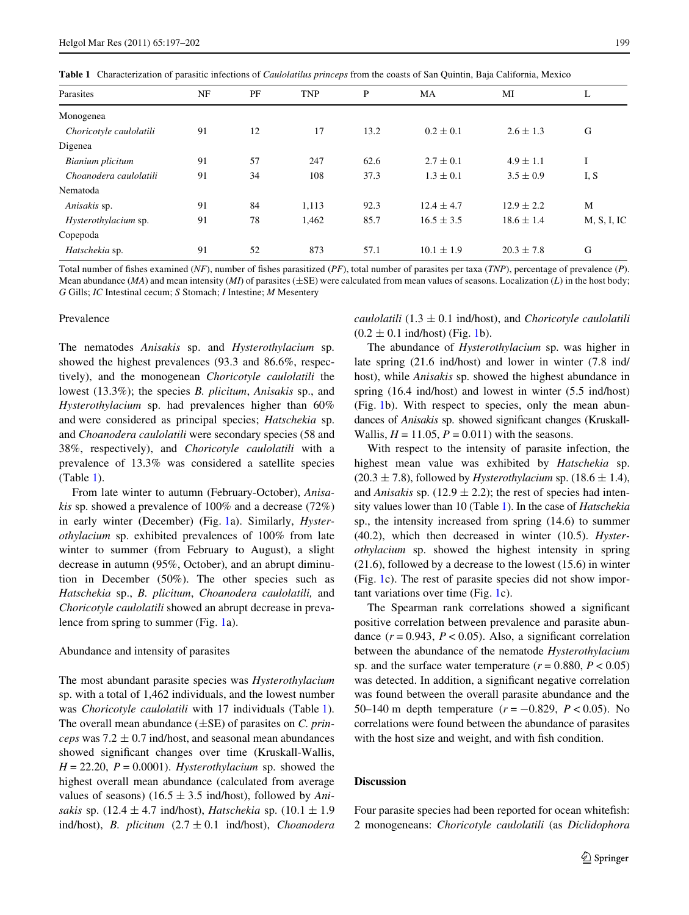<span id="page-2-0"></span>**Table 1** Characterization of parasitic infections of *Caulolatilus princeps* from the coasts of San Quintin, Baja California, Mexico

| Parasites               | NF | PF | <b>TNP</b> | P    | MA             | MI             | L           |
|-------------------------|----|----|------------|------|----------------|----------------|-------------|
| Monogenea               |    |    |            |      |                |                |             |
| Choricotyle caulolatili | 91 | 12 | 17         | 13.2 | $0.2 \pm 0.1$  | $2.6 \pm 1.3$  | G           |
| Digenea                 |    |    |            |      |                |                |             |
| Bianium plicitum        | 91 | 57 | 247        | 62.6 | $2.7 \pm 0.1$  | $4.9 \pm 1.1$  | I           |
| Choanodera caulolatili  | 91 | 34 | 108        | 37.3 | $1.3 \pm 0.1$  | $3.5 \pm 0.9$  | I, S        |
| Nematoda                |    |    |            |      |                |                |             |
| Anisakis sp.            | 91 | 84 | 1,113      | 92.3 | $12.4 \pm 4.7$ | $12.9 \pm 2.2$ | M           |
| Hysterothylacium sp.    | 91 | 78 | 1,462      | 85.7 | $16.5 \pm 3.5$ | $18.6 \pm 1.4$ | M, S, I, IC |
| Copepoda                |    |    |            |      |                |                |             |
| Hatschekia sp.          | 91 | 52 | 873        | 57.1 | $10.1 \pm 1.9$ | $20.3 \pm 7.8$ | G           |

Total number of fishes examined (*NF*), number of fishes parasitized (*PF*), total number of parasites per taxa (*TNP*), percentage of prevalence (*P*). Mean abundance (*MA*) and mean intensity (*MI*) of parasites ( $\pm$ SE) were calculated from mean values of seasons. Localization (*L*) in the host body; *G* Gills; *IC* Intestinal cecum; *S* Stomach; *I* Intestine; *M* Mesentery

#### Prevalence

The nematodes *Anisakis* sp. and *Hysterothylacium* sp. showed the highest prevalences (93.3 and 86.6%, respectively), and the monogenean *Choricotyle caulolatili* the lowest (13.3%); the species *B. plicitum*, *Anisakis* sp., and *Hysterothylacium* sp. had prevalences higher than 60% and were considered as principal species; *Hatschekia* sp. and *Choanodera caulolatili* were secondary species (58 and 38%, respectively), and *Choricotyle caulolatili* with a prevalence of 13.3% was considered a satellite species (Table [1\)](#page-2-0).

From late winter to autumn (February-October), *Anisakis* sp. showed a prevalence of 100% and a decrease (72%) in early winter (December) (Fig. [1](#page-3-0)a). Similarly, *Hysterothylacium* sp. exhibited prevalences of 100% from late winter to summer (from February to August), a slight decrease in autumn (95%, October), and an abrupt diminution in December (50%). The other species such as *Hatschekia* sp., *B. plicitum*, *Choanodera caulolatili,* and *Choricotyle caulolatili* showed an abrupt decrease in prevalence from spring to summer (Fig. [1a](#page-3-0)).

#### Abundance and intensity of parasites

The most abundant parasite species was *Hysterothylacium* sp. with a total of 1,462 individuals, and the lowest number was *Choricotyle caulolatili* with 17 individuals (Table [1](#page-2-0)). The overall mean abundance  $(\pm SE)$  of parasites on *C. princeps* was  $7.2 \pm 0.7$  ind/host, and seasonal mean abundances showed significant changes over time (Kruskall-Wallis,  $H = 22.20$ ,  $P = 0.0001$ . *Hysterothylacium* sp. showed the highest overall mean abundance (calculated from average values of seasons)  $(16.5 \pm 3.5 \text{ ind/host})$ , followed by *Anisakis* sp. (12.4  $\pm$  4.7 ind/host), *Hatschekia* sp. (10.1  $\pm$  1.9 ind/host), *B. plicitum*  $(2.7 \pm 0.1 \text{ ind/host})$ , *Choanodera*  *caulolatili*  $(1.3 \pm 0.1 \text{ ind/host})$ , and *Choricotyle caulolatili*  $(0.2 \pm 0.1 \text{ ind/host})$  $(0.2 \pm 0.1 \text{ ind/host})$  $(0.2 \pm 0.1 \text{ ind/host})$  (Fig. 1b).

The abundance of *Hysterothylacium* sp. was higher in late spring (21.6 ind/host) and lower in winter (7.8 ind/ host), while *Anisakis* sp. showed the highest abundance in spring (16.4 ind/host) and lowest in winter (5.5 ind/host) (Fig. [1b](#page-3-0)). With respect to species, only the mean abundances of *Anisakis* sp. showed significant changes (Kruskall-Wallis,  $H = 11.05$ ,  $P = 0.011$ ) with the seasons.

With respect to the intensity of parasite infection, the highest mean value was exhibited by *Hatschekia* sp.  $(20.3 \pm 7.8)$ , followed by *Hysterothylacium* sp.  $(18.6 \pm 1.4)$ , and *Anisakis* sp. (12.9  $\pm$  2.2); the rest of species had intensity values lower than 10 (Table [1](#page-2-0)). In the case of *Hatschekia* sp., the intensity increased from spring (14.6) to summer (40.2), which then decreased in winter (10.5). *Hysterothylacium* sp. showed the highest intensity in spring (21.6), followed by a decrease to the lowest (15.6) in winter (Fig. [1c](#page-3-0)). The rest of parasite species did not show important variations over time (Fig. [1c](#page-3-0)).

The Spearman rank correlations showed a significant positive correlation between prevalence and parasite abundance  $(r = 0.943, P < 0.05)$ . Also, a significant correlation between the abundance of the nematode *Hysterothylacium* sp. and the surface water temperature  $(r = 0.880, P < 0.05)$ was detected. In addition, a significant negative correlation was found between the overall parasite abundance and the 50–140 m depth temperature  $(r = -0.829, P < 0.05)$ . No correlations were found between the abundance of parasites with the host size and weight, and with fish condition.

## **Discussion**

Four parasite species had been reported for ocean whitefish: 2 monogeneans: *Choricotyle caulolatili* (as *Diclidophora*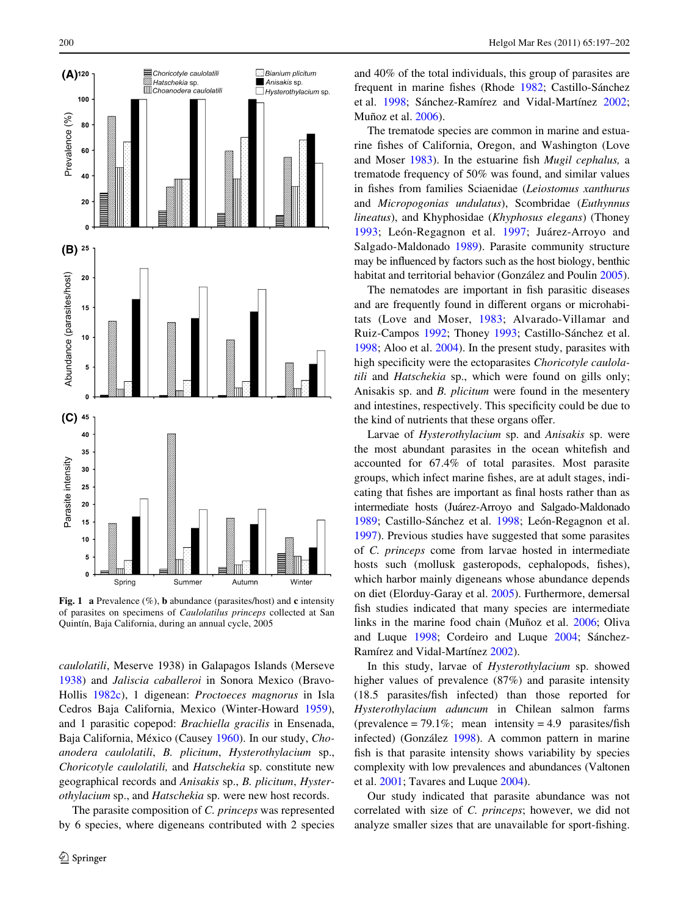

<span id="page-3-0"></span>**Fig. 1 a** Prevalence (%), **b** abundance (parasites/host) and **c** intensity of parasites on specimens of *Caulolatilus princeps* collected at San Quintín, Baja California, during an annual cycle, 2005

*caulolatili*, Meserve 1938) in Galapagos Islands (Merseve [1938](#page-5-18)) and *Jaliscia caballeroi* in Sonora Mexico (Bravo-Hollis [1982c\)](#page-4-15), 1 digenean: *Proctoeces magnorus* in Isla Cedros Baja California, Mexico (Winter-Howard [1959](#page-5-19)), and 1 parasitic copepod: *Brachiella gracilis* in Ensenada, Baja California, México (Causey [1960\)](#page-4-16). In our study, *Choanodera caulolatili*, *B. plicitum*, *Hysterothylacium* sp., *Choricotyle caulolatili,* and *Hatschekia* sp. constitute new geographical records and *Anisakis* sp., *B. plicitum*, *Hysterothylacium* sp., and *Hatschekia* sp. were new host records.

The parasite composition of *C. princeps* was represented by 6 species, where digeneans contributed with 2 species and 40% of the total individuals, this group of parasites are frequent in marine fishes (Rhode [1982](#page-5-20); Castillo-Sánchez et al. [1998;](#page-4-17) Sánchez-Ramírez and Vidal-Martínez [2002;](#page-5-1) Muñoz et al. [2006\)](#page-5-21).

The trematode species are common in marine and estuarine fishes of California, Oregon, and Washington (Love and Moser [1983\)](#page-5-22). In the estuarine fish *Mugil cephalus*, a trematode frequency of 50% was found, and similar values in Wshes from families Sciaenidae (*Leiostomus xanthurus* and *Micropogonias undulatus*), Scombridae (*Euthynnus lineatus*), and Khyphosidae (*Khyphosus elegans*) (Thoney [1993;](#page-5-23) León-Regagnon et al. [1997;](#page-5-24) Juárez-Arroyo and Salgado-Maldonado [1989](#page-4-18)). Parasite community structure may be influenced by factors such as the host biology, benthic habitat and territorial behavior (González and Poulin [2005](#page-4-19)).

The nematodes are important in fish parasitic diseases and are frequently found in different organs or microhabitats (Love and Moser, [1983;](#page-5-22) Alvarado-Villamar and Ruiz-Campos [1992](#page-4-20); Thoney [1993;](#page-5-23) Castillo-Sánchez et al. [1998](#page-4-17); Aloo et al. [2004](#page-4-21)). In the present study, parasites with high specificity were the ectoparasites *Choricotyle caulolatili* and *Hatschekia* sp., which were found on gills only; Anisakis sp. and *B. plicitum* were found in the mesentery and intestines, respectively. This specificity could be due to the kind of nutrients that these organs offer.

Larvae of *Hysterothylacium* sp. and *Anisakis* sp. were the most abundant parasites in the ocean whitefish and accounted for 67.4% of total parasites. Most parasite groups, which infect marine fishes, are at adult stages, indicating that fishes are important as final hosts rather than as intermediate hosts (Juárez-Arroyo and Salgado-Maldonado [1989](#page-4-18); Castillo-Sánchez et al. [1998](#page-4-17); León-Regagnon et al. [1997](#page-5-24)). Previous studies have suggested that some parasites of *C. princeps* come from larvae hosted in intermediate hosts such (mollusk gasteropods, cephalopods, fishes), which harbor mainly digeneans whose abundance depends on diet (Elorduy-Garay et al. [2005\)](#page-4-5). Furthermore, demersal fish studies indicated that many species are intermediate links in the marine food chain (Muñoz et al. [2006](#page-5-21); Oliva and Luque [1998;](#page-5-25) Cordeiro and Luque [2004](#page-4-22); Sánchez-Ramírez and Vidal-Martínez [2002\)](#page-5-1).

In this study, larvae of *Hysterothylacium* sp. showed higher values of prevalence (87%) and parasite intensity  $(18.5 \text{ parasites/fish infected})$  than those reported for *Hysterothylacium aduncum* in Chilean salmon farms (prevalence = 79.1%; mean intensity = 4.9 parasites/fish infected) (González [1998](#page-4-23)). A common pattern in marine fish is that parasite intensity shows variability by species complexity with low prevalences and abundances (Valtonen et al. [2001](#page-5-26); Tavares and Luque [2004](#page-5-27)).

Our study indicated that parasite abundance was not correlated with size of *C. princeps*; however, we did not analyze smaller sizes that are unavailable for sport-fishing.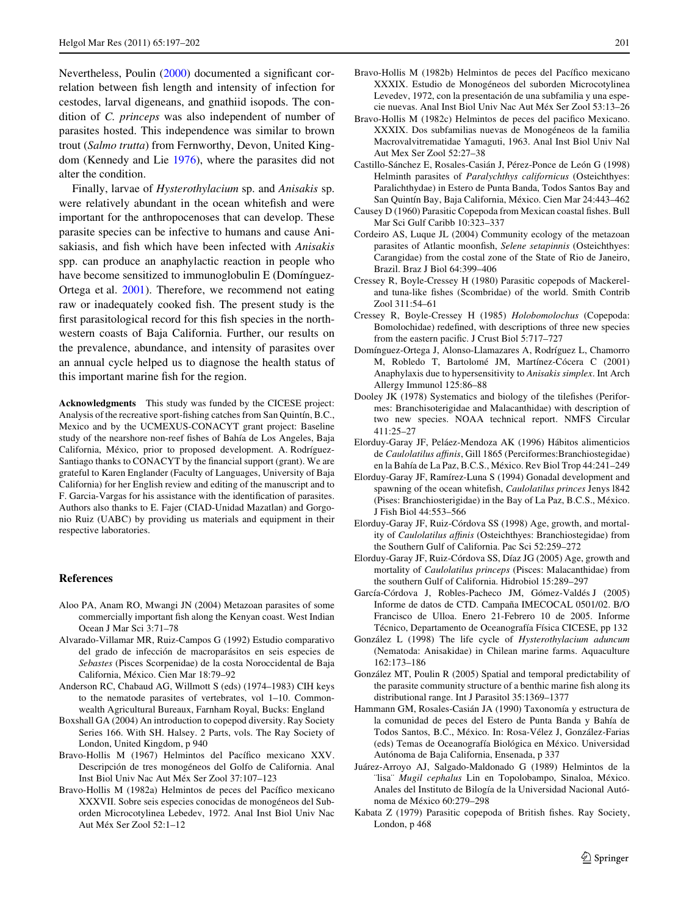Nevertheless, Poulin  $(2000)$  $(2000)$  documented a significant correlation between fish length and intensity of infection for cestodes, larval digeneans, and gnathiid isopods. The condition of *C. princeps* was also independent of number of parasites hosted. This independence was similar to brown trout (*Salmo trutta*) from Fernworthy, Devon, United Kingdom (Kennedy and Lie [1976](#page-5-29)), where the parasites did not alter the condition.

Finally, larvae of *Hysterothylacium* sp. and *Anisakis* sp. were relatively abundant in the ocean white fish and were important for the anthropocenoses that can develop. These parasite species can be infective to humans and cause Anisakiasis, and fish which have been infected with *Anisakis* spp. can produce an anaphylactic reaction in people who have become sensitized to immunoglobulin E (Domínguez-Ortega et al. [2001\)](#page-4-24). Therefore, we recommend not eating raw or inadequately cooked fish. The present study is the first parasitological record for this fish species in the northwestern coasts of Baja California. Further, our results on the prevalence, abundance, and intensity of parasites over an annual cycle helped us to diagnose the health status of this important marine fish for the region.

**Acknowledgments** This study was funded by the CICESE project: Analysis of the recreative sport-fishing catches from San Quintín, B.C., Mexico and by the UCMEXUS-CONACYT grant project: Baseline study of the nearshore non-reef fishes of Bahía de Los Angeles, Baja California, México, prior to proposed development. A. Rodríguez-Santiago thanks to CONACYT by the financial support (grant). We are grateful to Karen Englander (Faculty of Languages, University of Baja California) for her English review and editing of the manuscript and to F. Garcia-Vargas for his assistance with the identification of parasites. Authors also thanks to E. Fajer (CIAD-Unidad Mazatlan) and Gorgonio Ruiz (UABC) by providing us materials and equipment in their respective laboratories.

#### **References**

- <span id="page-4-21"></span>Aloo PA, Anam RO, Mwangi JN (2004) Metazoan parasites of some commercially important fish along the Kenyan coast. West Indian Ocean J Mar Sci 3:71–78
- <span id="page-4-20"></span>Alvarado-Villamar MR, Ruiz-Campos G (1992) Estudio comparativo del grado de infección de macroparásitos en seis especies de *Sebastes* (Pisces Scorpenidae) de la costa Noroccidental de Baja California, México. Cien Mar 18:79–92
- <span id="page-4-10"></span>Anderson RC, Chabaud AG, Willmott S (eds) (1974–1983) CIH keys to the nematode parasites of vertebrates, vol 1–10. Commonwealth Agricultural Bureaux, Farnham Royal, Bucks: England
- <span id="page-4-14"></span>Boxshall GA (2004) An introduction to copepod diversity. Ray Society Series 166. With SH. Halsey. 2 Parts, vols. The Ray Society of London, United Kingdom, p 940
- <span id="page-4-7"></span>Bravo-Hollis M (1967) Helmintos del Pacífico mexicano XXV. Descripción de tres monogéneos del Golfo de California. Anal Inst Biol Univ Nac Aut Méx Ser Zool 37:107–123
- <span id="page-4-8"></span>Bravo-Hollis M (1982a) Helmintos de peces del Pacífico mexicano XXXVII. Sobre seis especies conocidas de monogéneos del Suborden Microcotylinea Lebedev, 1972. Anal Inst Biol Univ Nac Aut Méx Ser Zool 52:1–12
- <span id="page-4-9"></span>Bravo-Hollis M (1982b) Helmintos de peces del Pacífico mexicano XXXIX. Estudio de Monogéneos del suborden Microcotylinea Levedev, 1972, con la presentación de una subfamilia y una especie nuevas. Anal Inst Biol Univ Nac Aut Méx Ser Zool 53:13–26
- <span id="page-4-15"></span>Bravo-Hollis M (1982c) Helmintos de peces del pacifico Mexicano. XXXIX. Dos subfamilias nuevas de Monogéneos de la familia Macrovalvitrematidae Yamaguti, 1963. Anal Inst Biol Univ Nal Aut Mex Ser Zool 52:27–38
- <span id="page-4-17"></span>Castillo-Sánchez E, Rosales-Casián J, Pérez-Ponce de León G (1998) Helminth parasites of *Paralychthys californicus* (Osteichthyes: Paralichthydae) in Estero de Punta Banda, Todos Santos Bay and San Quintín Bay, Baja California, México. Cien Mar 24:443–462
- <span id="page-4-16"></span>Causey D (1960) Parasitic Copepoda from Mexican coastal fishes. Bull Mar Sci Gulf Caribb 10:323–337
- <span id="page-4-22"></span>Cordeiro AS, Luque JL (2004) Community ecology of the metazoan parasites of Atlantic moonfish, *Selene setapinnis* (Osteichthyes: Carangidae) from the costal zone of the State of Rio de Janeiro, Brazil. Braz J Biol 64:399–406
- <span id="page-4-11"></span>Cressey R, Boyle-Cressey H (1980) Parasitic copepods of Mackereland tuna-like fishes (Scombridae) of the world. Smith Contrib Zool 311:54–61
- <span id="page-4-12"></span>Cressey R, Boyle-Cressey H (1985) *Holobomolochus* (Copepoda: Bomolochidae) redefined, with descriptions of three new species from the eastern pacific. J Crust Biol 5:717–727
- <span id="page-4-24"></span>Domínguez-Ortega J, Alonso-Llamazares A, Rodríguez L, Chamorro M, Robledo T, Bartolomé JM, Martínez-Cócera C (2001) Anaphylaxis due to hypersensitivity to *Anisakis simplex*. Int Arch Allergy Immunol 125:86–88
- <span id="page-4-0"></span>Dooley JK (1978) Systematics and biology of the tilefishes (Periformes: Branchisoterigidae and Malacanthidae) with description of two new species. NOAA technical report. NMFS Circular 411:25–27
- <span id="page-4-4"></span>Elorduy-Garay JF, Peláez-Mendoza AK (1996) Hábitos alimenticios de *Caulolatilus aYnis*, Gill 1865 (Perciformes:Branchiostegidae) en la Bahía de La Paz, B.C.S., México. Rev Biol Trop 44:241–249
- <span id="page-4-3"></span>Elorduy-Garay JF, Ramírez-Luna S (1994) Gonadal development and spawning of the ocean whitefish, *Caulolatilus princes* Jenys 1842 (Pises: Branchiosterigidae) in the Bay of La Paz, B.C.S., México. J Fish Biol 44:553–566
- <span id="page-4-2"></span>Elorduy-Garay JF, Ruiz-Córdova SS (1998) Age, growth, and mortality of *Caulolatilus affinis* (Osteichthyes: Branchiostegidae) from the Southern Gulf of California. Pac Sci 52:259–272
- <span id="page-4-5"></span>Elorduy-Garay JF, Ruiz-Córdova SS, Díaz JG (2005) Age, growth and mortality of *Caulolatilus princeps* (Pisces: Malacanthidae) from the southern Gulf of California. Hidrobiol 15:289–297
- <span id="page-4-6"></span>García-Córdova J, Robles-Pacheco JM, Gómez-Valdés J (2005) Informe de datos de CTD. Campaña IMECOCAL 0501/02. B/O Francisco de Ulloa. Enero 21-Febrero 10 de 2005. Informe Técnico, Departamento de Oceanografía Física CICESE, pp 132
- <span id="page-4-23"></span>González L (1998) The life cycle of *Hysterothylacium aduncum* (Nematoda: Anisakidae) in Chilean marine farms. Aquaculture 162:173–186
- <span id="page-4-19"></span>González MT, Poulin R (2005) Spatial and temporal predictability of the parasite community structure of a benthic marine fish along its distributional range. Int J Parasitol 35:1369–1377
- <span id="page-4-1"></span>Hammann GM, Rosales-Casián JA (1990) Taxonomía y estructura de la comunidad de peces del Estero de Punta Banda y Bahía de Todos Santos, B.C., México. In: Rosa-Vélez J, González-Farias (eds) Temas de Oceanografía Biológica en México. Universidad Autónoma de Baja California, Ensenada, p 337
- <span id="page-4-18"></span>Juárez-Arroyo AJ, Salgado-Maldonado G (1989) Helmintos de la ¨lisa¨ *Mugil cephalus* Lin en Topolobampo, Sinaloa, México. Anales del Instituto de Bilogía de la Universidad Nacional Autónoma de México 60:279–298
- <span id="page-4-13"></span>Kabata Z (1979) Parasitic copepoda of British fishes. Ray Society, London, p 468